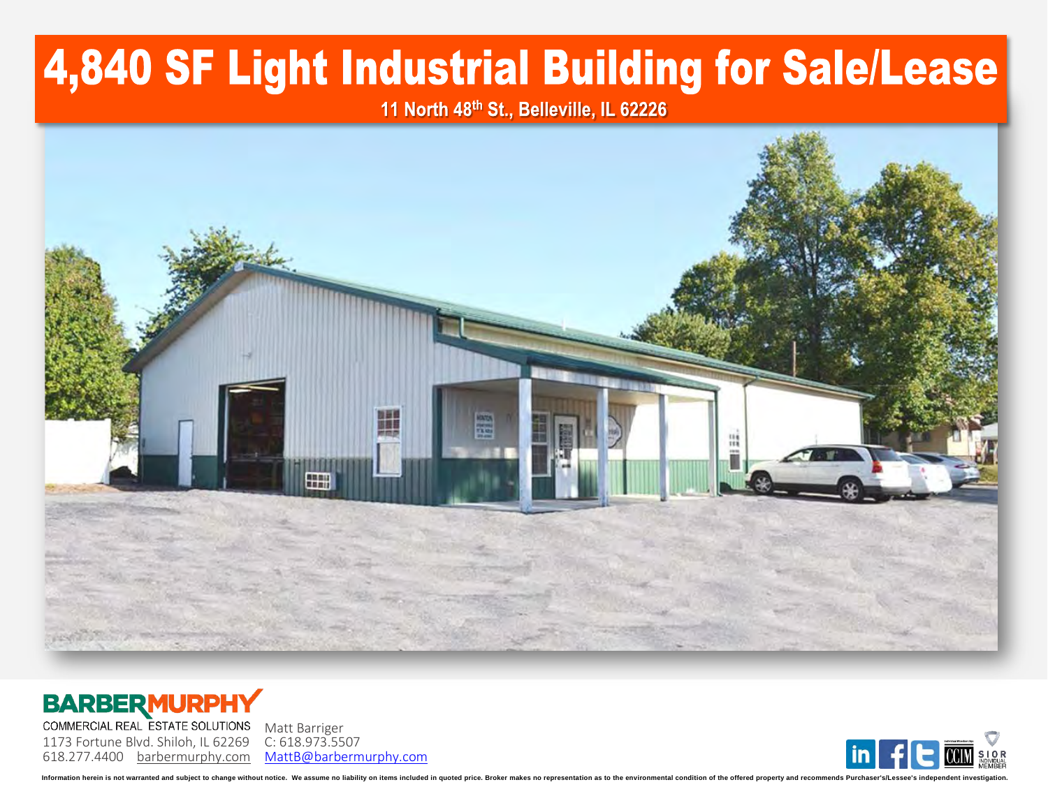## 4,840 SF Light Industrial Building for Sale/Lease

11 North 48th St., Belleville, IL 62226







Information herein is not warranted and subject to change without notice. We assume no liability on items included in quoted price. Broker makes no representation as to the environmental condition of the offered property a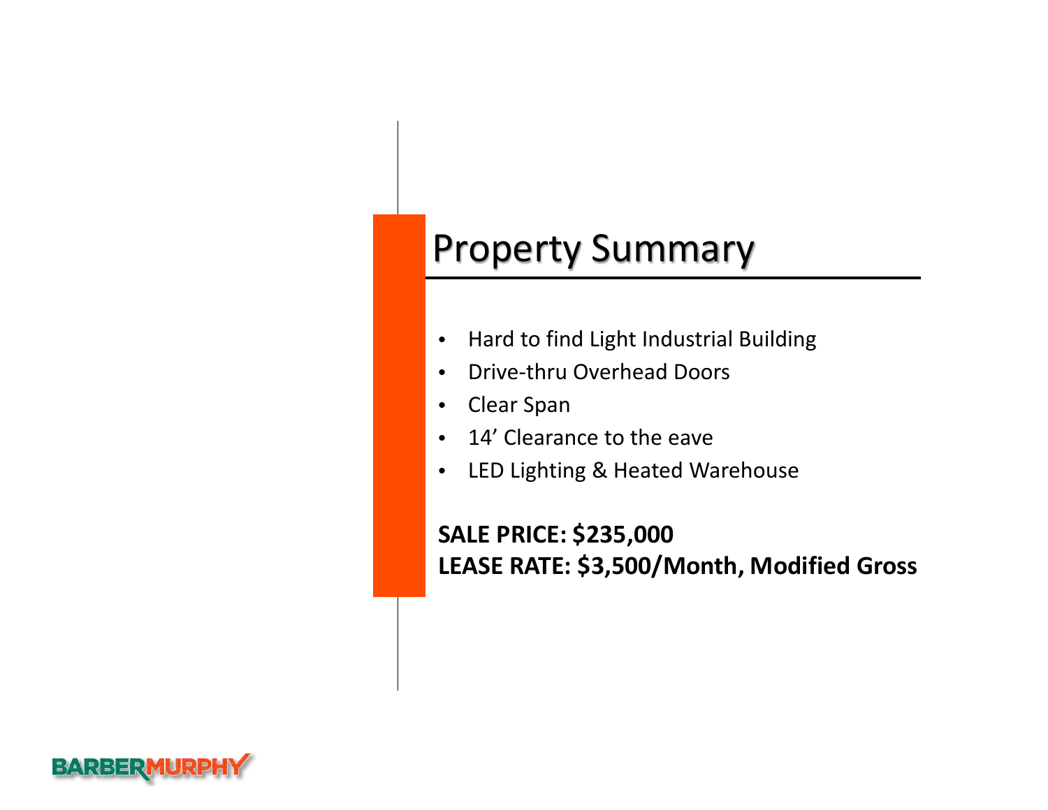## Property Summary

- Hard to find Light Industrial Building
- Drive-thru Overhead Doors
- Clear Span
- 14' Clearance to the eave
- LED Lighting & Heated Warehouse

**SALE PRICE: \$235,000 LEASE RATE: \$3,500/Month, Modified Gross**

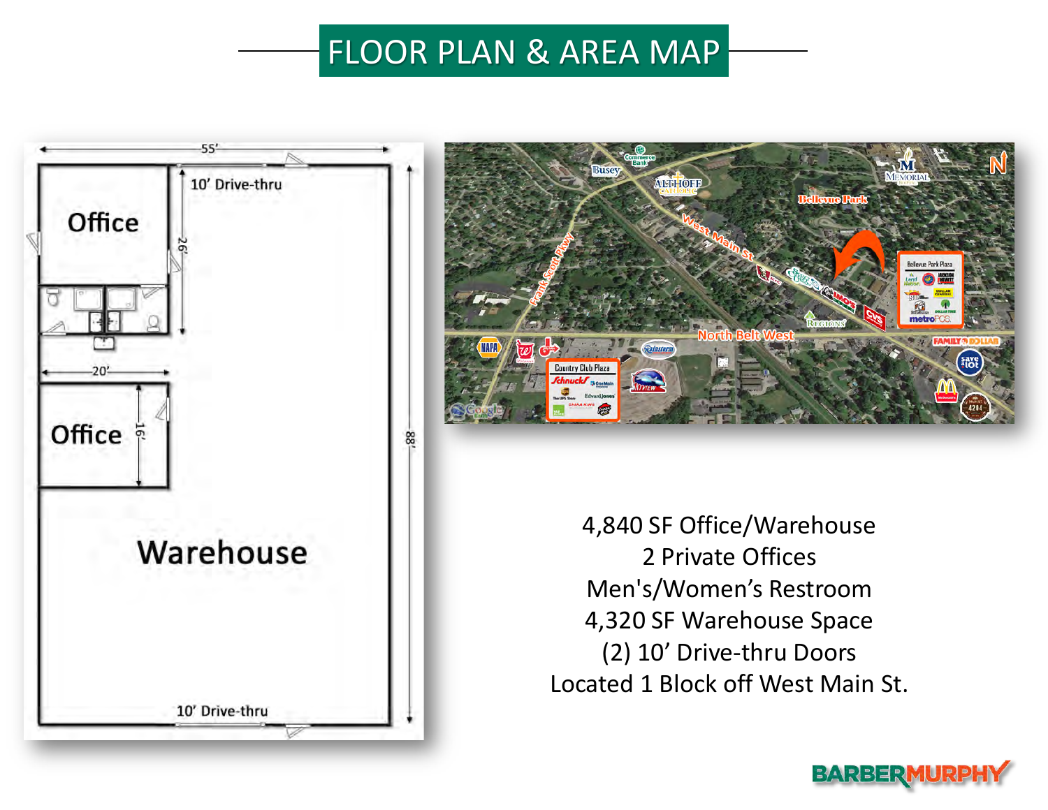## FLOOR PLAN & AREA MAP





4,840 SF Office/Warehouse 2 Private Offices Men's/Women's Restroom 4,320 SF Warehouse Space (2) 10' Drive-thru Doors Located 1 Block off West Main St.

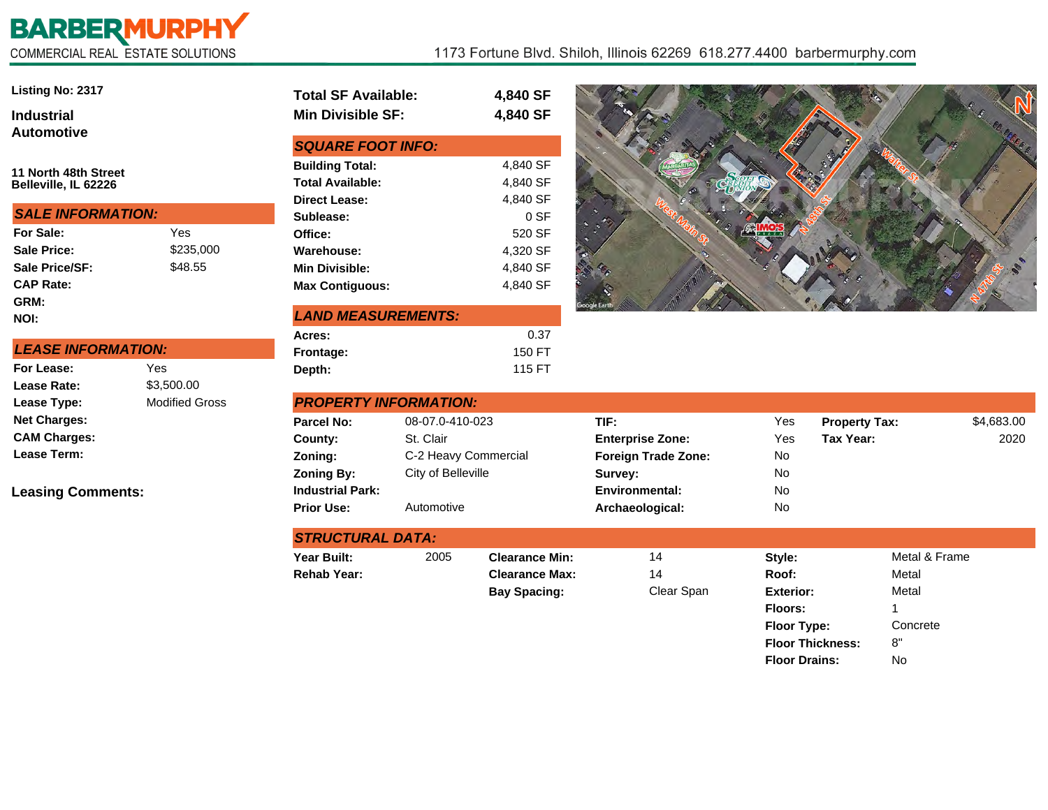## **BARBERMURPHY**<br>COMMERCIAL REAL ESTATE SOLUTIONS

| <b>Listing No: 2317</b>                      |           | <b>Total SF Available:</b>                                                |  |  |  |
|----------------------------------------------|-----------|---------------------------------------------------------------------------|--|--|--|
| <b>Industrial</b>                            |           | <b>Min Divisible SF:</b>                                                  |  |  |  |
| <b>Automotive</b>                            |           | <b>SQUARE FOOT INFO:</b>                                                  |  |  |  |
| 11 North 48th Street<br>Belleville, IL 62226 |           | <b>Building Total:</b><br><b>Total Available:</b><br><b>Direct Lease:</b> |  |  |  |
| <b>SALE INFORMATION:</b>                     |           | Sublease:                                                                 |  |  |  |
| For Sale:                                    | Yes       | Office:                                                                   |  |  |  |
| Sale Price:                                  | \$235,000 | Warehouse:                                                                |  |  |  |
| Sale Price/SF:                               | \$48.55   | <b>Min Divisible:</b>                                                     |  |  |  |
| <b>CAP Rate:</b>                             |           | <b>Max Contiguous:</b>                                                    |  |  |  |
| GRM:                                         |           |                                                                           |  |  |  |
| NOI:                                         |           | <b>LAND MEASUREMENTS:</b>                                                 |  |  |  |
|                                              |           | Acres:                                                                    |  |  |  |
| <b>LEASE INFORMATION:</b>                    |           | Frontage:                                                                 |  |  |  |

|  | <i><b>LEASE INFORMATION:</b></i> |  |  |  |  |
|--|----------------------------------|--|--|--|--|
|  |                                  |  |  |  |  |

| For Lease:          | Yes                   |
|---------------------|-----------------------|
| Lease Rate:         | \$3,500.00            |
| Lease Type:         | <b>Modified Gross</b> |
| <b>Net Charges:</b> |                       |
| <b>CAM Charges:</b> |                       |
| <b>Lease Term:</b>  |                       |

**Leasing Comments:**

| Total SF Available:      | 4,840 SF |
|--------------------------|----------|
| <b>Min Divisible SF:</b> | 4,840 SF |
| <b>SQUARE FOOT INFO:</b> |          |
| <b>Building Total:</b>   | 4,840 SF |
| Total Available:         | 4,840 SF |
| Direct Lease:            | 4,840 SF |
| Sublease:                | $0S$ F   |
| Office:                  | 520 SF   |
| <b>Warehouse:</b>        | 4,320 SF |
| <b>Min Divisible:</b>    | 4,840 SF |
| <b>Max Contiguous:</b>   | 4.840 SF |
|                          |          |

| <b>LAND MEASUREMENTS:</b> |        |  |  |  |
|---------------------------|--------|--|--|--|
| Acres:                    | 0.37   |  |  |  |
| Frontage:                 | 150 FT |  |  |  |
| Depth:                    | 115 FT |  |  |  |

**STRUCTURAL DATA:**



**Floor Drains:** No

| <b>PROPERTY INFORMATION:</b> |                      |                            |     |                      |            |  |
|------------------------------|----------------------|----------------------------|-----|----------------------|------------|--|
| <b>Parcel No:</b>            | 08-07.0-410-023      | TIF:                       | Yes | <b>Property Tax:</b> | \$4,683.00 |  |
| County:                      | St. Clair            | <b>Enterprise Zone:</b>    | Yes | Tax Year:            | 2020       |  |
| Zoning:                      | C-2 Heavy Commercial | <b>Foreign Trade Zone:</b> | No  |                      |            |  |
| <b>Zoning By:</b>            | City of Belleville   | Survey:                    | No  |                      |            |  |
| <b>Industrial Park:</b>      |                      | <b>Environmental:</b>      | No  |                      |            |  |
| <b>Prior Use:</b>            | Automotive           | Archaeological:            | No  |                      |            |  |

| SIRUGIURAL DATA.   |      |                       |            |                         |               |  |
|--------------------|------|-----------------------|------------|-------------------------|---------------|--|
| Year Built:        | 2005 | <b>Clearance Min:</b> | 14         | Style:                  | Metal & Frame |  |
| <b>Rehab Year:</b> |      | <b>Clearance Max:</b> | 14         | Roof:                   | Metal         |  |
|                    |      | <b>Bay Spacing:</b>   | Clear Span | <b>Exterior:</b>        | Metal         |  |
|                    |      |                       |            | <b>Floors:</b>          |               |  |
|                    |      |                       |            | <b>Floor Type:</b>      | Concrete      |  |
|                    |      |                       |            | <b>Floor Thickness:</b> | 8"            |  |